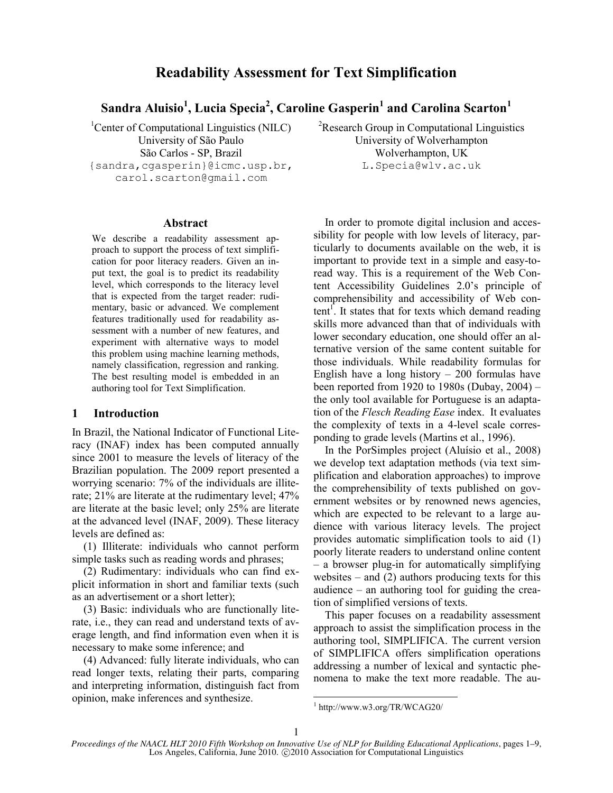# **Readability Assessment for Text Simplification**

**Sandra Aluisio<sup>1</sup> , Lucia Specia<sup>2</sup> , Caroline Gasperin<sup>1</sup> and Carolina Scarton<sup>1</sup>**

São Carlos - SP, Brazil Wolverhampton, UK {sandra,cgasperin}@icmc.usp.br, carol.scarton@gmail.com

**Abstract**

We describe a readability assessment approach to support the process of text simplification for poor literacy readers. Given an input text, the goal is to predict its readability level, which corresponds to the literacy level that is expected from the target reader: rudimentary, basic or advanced. We complement features traditionally used for readability assessment with a number of new features, and experiment with alternative ways to model this problem using machine learning methods, namely classification, regression and ranking. The best resulting model is embedded in an authoring tool for Text Simplification.

## **1 Introduction**

In Brazil, the National Indicator of Functional Literacy (INAF) index has been computed annually since 2001 to measure the levels of literacy of the Brazilian population. The 2009 report presented a worrying scenario: 7% of the individuals are illiterate; 21% are literate at the rudimentary level; 47% are literate at the basic level; only 25% are literate at the advanced level (INAF, 2009). These literacy levels are defined as:

(1) Illiterate: individuals who cannot perform simple tasks such as reading words and phrases;

(2) Rudimentary: individuals who can find explicit information in short and familiar texts (such as an advertisement or a short letter);

(3) Basic: individuals who are functionally literate, i.e., they can read and understand texts of average length, and find information even when it is necessary to make some inference; and

(4) Advanced: fully literate individuals, who can read longer texts, relating their parts, comparing and interpreting information, distinguish fact from opinion, make inferences and synthesize.

<sup>1</sup>Center of Computational Linguistics (NILC) <sup>2</sup>Research Group in Computational Linguistics University of São Paulo University of Wolverhampton L.Specia@wlv.ac.uk

> In order to promote digital inclusion and accessibility for people with low levels of literacy, particularly to documents available on the web, it is important to provide text in a simple and easy-toread way. This is a requirement of the Web Content Accessibility Guidelines 2.0's principle of comprehensibility and accessibility of Web content<sup>1</sup>. It states that for texts which demand reading skills more advanced than that of individuals with lower secondary education, one should offer an alternative version of the same content suitable for those individuals. While readability formulas for English have a long history  $-200$  formulas have been reported from 1920 to 1980s (Dubay, 2004) – the only tool available for Portuguese is an adaptation of the *Flesch Reading Ease* index. It evaluates the complexity of texts in a 4-level scale corresponding to grade levels (Martins et al., 1996).

> In the PorSimples project (Aluísio et al., 2008) we develop text adaptation methods (via text simplification and elaboration approaches) to improve the comprehensibility of texts published on government websites or by renowned news agencies, which are expected to be relevant to a large audience with various literacy levels. The project provides automatic simplification tools to aid (1) poorly literate readers to understand online content – a browser plug-in for automatically simplifying websites – and  $(2)$  authors producing texts for this audience – an authoring tool for guiding the creation of simplified versions of texts.

> This paper focuses on a readability assessment approach to assist the simplification process in the authoring tool, SIMPLIFICA. The current version of SIMPLIFICA offers simplification operations addressing a number of lexical and syntactic phenomena to make the text more readable. The au-

l

<sup>1</sup> http://www.w3.org/TR/WCAG20/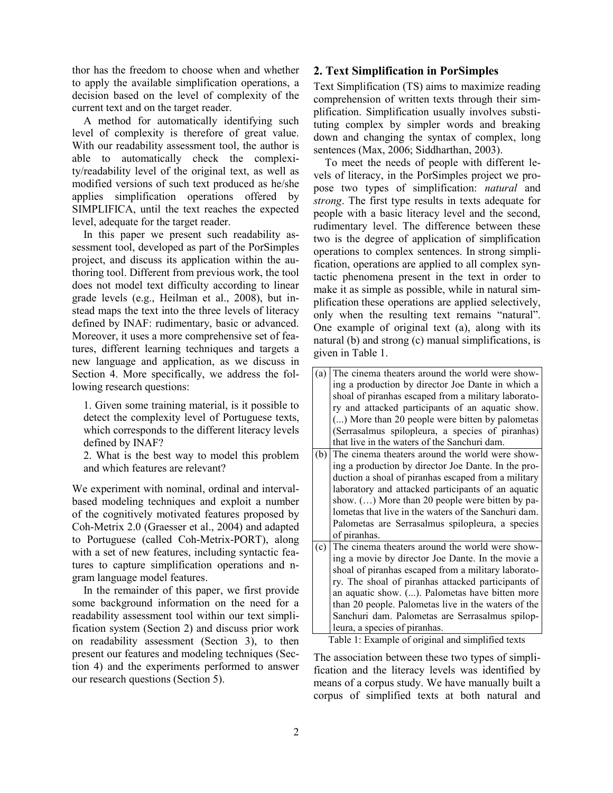thor has the freedom to choose when and whether to apply the available simplification operations, a decision based on the level of complexity of the current text and on the target reader.

A method for automatically identifying such level of complexity is therefore of great value. With our readability assessment tool, the author is able to automatically check the complexity/readability level of the original text, as well as modified versions of such text produced as he/she applies simplification operations offered by SIMPLIFICA, until the text reaches the expected level, adequate for the target reader.

In this paper we present such readability assessment tool, developed as part of the PorSimples project, and discuss its application within the authoring tool. Different from previous work, the tool does not model text difficulty according to linear grade levels (e.g., Heilman et al., 2008), but instead maps the text into the three levels of literacy defined by INAF: rudimentary, basic or advanced. Moreover, it uses a more comprehensive set of features, different learning techniques and targets a new language and application, as we discuss in Section 4. More specifically, we address the following research questions:

1. Given some training material, is it possible to detect the complexity level of Portuguese texts, which corresponds to the different literacy levels defined by INAF?

2. What is the best way to model this problem and which features are relevant?

We experiment with nominal, ordinal and intervalbased modeling techniques and exploit a number of the cognitively motivated features proposed by Coh-Metrix 2.0 (Graesser et al., 2004) and adapted to Portuguese (called Coh-Metrix-PORT), along with a set of new features, including syntactic features to capture simplification operations and ngram language model features.

In the remainder of this paper, we first provide some background information on the need for a readability assessment tool within our text simplification system (Section 2) and discuss prior work on readability assessment (Section 3), to then present our features and modeling techniques (Section 4) and the experiments performed to answer our research questions (Section 5).

## **2. Text Simplification in PorSimples**

Text Simplification (TS) aims to maximize reading comprehension of written texts through their simplification. Simplification usually involves substituting complex by simpler words and breaking down and changing the syntax of complex, long sentences (Max, 2006; Siddharthan, 2003).

To meet the needs of people with different levels of literacy, in the PorSimples project we propose two types of simplification: *natural* and *strong*. The first type results in texts adequate for people with a basic literacy level and the second, rudimentary level. The difference between these two is the degree of application of simplification operations to complex sentences. In strong simplification, operations are applied to all complex syntactic phenomena present in the text in order to make it as simple as possible, while in natural simplification these operations are applied selectively, only when the resulting text remains "natural". One example of original text (a), along with its natural (b) and strong (c) manual simplifications, is given in Table 1.

| (a) | The cinema theaters around the world were show-      |
|-----|------------------------------------------------------|
|     | ing a production by director Joe Dante in which a    |
|     | shoal of piranhas escaped from a military laborato-  |
|     | ry and attacked participants of an aquatic show.     |
|     | () More than 20 people were bitten by palometas      |
|     | (Serrasalmus spilopleura, a species of piranhas)     |
|     | that live in the waters of the Sanchuri dam.         |
| (b) | The cinema theaters around the world were show-      |
|     | ing a production by director Joe Dante. In the pro-  |
|     | duction a shoal of piranhas escaped from a military  |
|     | laboratory and attacked participants of an aquatic   |
|     | show. $()$ More than 20 people were bitten by pa-    |
|     | lometas that live in the waters of the Sanchuri dam. |
|     | Palometas are Serrasalmus spilopleura, a species     |
|     | of piranhas.                                         |
| (c) | The cinema theaters around the world were show-      |
|     | ing a movie by director Joe Dante. In the movie a    |
|     | shoal of piranhas escaped from a military laborato-  |
|     | ry. The shoal of piranhas attacked participants of   |
|     | an aquatic show. (). Palometas have bitten more      |
|     | than 20 people. Palometas live in the waters of the  |
|     | Sanchuri dam. Palometas are Serrasalmus spilop-      |
|     | leura, a species of piranhas.                        |

Table 1: Example of original and simplified texts

The association between these two types of simplification and the literacy levels was identified by means of a corpus study. We have manually built a corpus of simplified texts at both natural and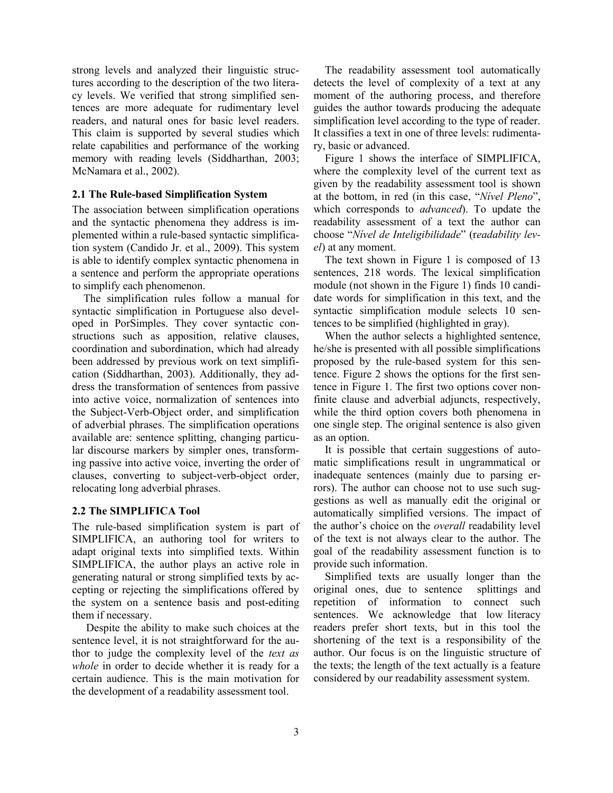strong levels and analyzed their linguistic structures according to the description of the two literacy levels. We verified that strong simplified sentences are more adequate for rudimentary level readers, and natural ones for basic level readers. This claim is supported by several studies which relate capabilities and performance of the working memory with reading levels (Siddharthan, 2003; McNamara et al., 2002).

#### **2.1 The Rule-based Simplification System**

The association between simplification operations and the syntactic phenomena they address is implemented within a rule-based syntactic simplification system (Candido Jr. et al., 2009). This system is able to identify complex syntactic phenomena in a sentence and perform the appropriate operations to simplify each phenomenon.

The simplification rules follow a manual for syntactic simplification in Portuguese also developed in PorSimples. They cover syntactic constructions such as apposition, relative clauses, coordination and subordination, which had already been addressed by previous work on text simplification (Siddharthan, 2003). Additionally, they address the transformation of sentences from passive into active voice, normalization of sentences into the Subject-Verb-Object order, and simplification of adverbial phrases. The simplification operations available are: sentence splitting, changing particular discourse markers by simpler ones, transforming passive into active voice, inverting the order of clauses, converting to subject-verb-object order, relocating long adverbial phrases.

#### **2.2 The SIMPLIFICA Tool**

The rule-based simplification system is part of SIMPLIFICA, an authoring tool for writers to adapt original texts into simplified texts. Within SIMPLIFICA, the author plays an active role in generating natural or strong simplified texts by accepting or rejecting the simplifications offered by the system on a sentence basis and post-editing them if necessary.

Despite the ability to make such choices at the sentence level, it is not straightforward for the author to judge the complexity level of the *text as whole* in order to decide whether it is ready for a certain audience. This is the main motivation for the development of a readability assessment tool.

The readability assessment tool automatically detects the level of complexity of a text at any moment of the authoring process, and therefore guides the author towards producing the adequate simplification level according to the type of reader. It classifies a text in one of three levels: rudimentary, basic or advanced.

Figure 1 shows the interface of SIMPLIFICA, where the complexity level of the current text as given by the readability assessment tool is shown at the bottom, in red (in this case, "*Nível Pleno*", which corresponds to *advanced*). To update the readability assessment of a text the author can choose "*Nível de Inteligibilidade*" (r*eadability level*) at any moment.

The text shown in Figure 1 is composed of 13 sentences, 218 words. The lexical simplification module (not shown in the Figure 1) finds 10 candidate words for simplification in this text, and the syntactic simplification module selects 10 sentences to be simplified (highlighted in gray).

When the author selects a highlighted sentence, he/she is presented with all possible simplifications proposed by the rule-based system for this sentence. Figure 2 shows the options for the first sentence in Figure 1. The first two options cover nonfinite clause and adverbial adjuncts, respectively, while the third option covers both phenomena in one single step. The original sentence is also given as an option.

It is possible that certain suggestions of automatic simplifications result in ungrammatical or inadequate sentences (mainly due to parsing errors). The author can choose not to use such suggestions as well as manually edit the original or automatically simplified versions. The impact of the author's choice on the *overall* readability level of the text is not always clear to the author. The goal of the readability assessment function is to provide such information.

Simplified texts are usually longer than the original ones, due to sentence splittings and repetition of information to connect such sentences. We acknowledge that low literacy readers prefer short texts, but in this tool the shortening of the text is a responsibility of the author. Our focus is on the linguistic structure of the texts; the length of the text actually is a feature considered by our readability assessment system.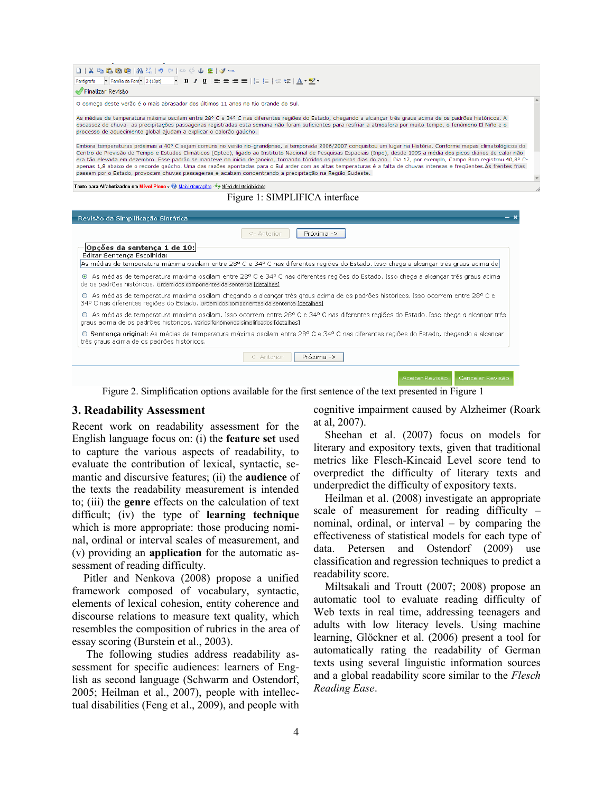| D   X 电离面的  A 45   9 ≥   ∞ ※ ↓ 2   √ ……                                                                                                                                                                                                                                                                                                                                                                                                                                                                                                                                                                                                                                                                                                                                                                      |  |
|--------------------------------------------------------------------------------------------------------------------------------------------------------------------------------------------------------------------------------------------------------------------------------------------------------------------------------------------------------------------------------------------------------------------------------------------------------------------------------------------------------------------------------------------------------------------------------------------------------------------------------------------------------------------------------------------------------------------------------------------------------------------------------------------------------------|--|
| Parágrafo - Família da Font - 2 (10pt)                                                                                                                                                                                                                                                                                                                                                                                                                                                                                                                                                                                                                                                                                                                                                                       |  |
| Finalizar Revisão                                                                                                                                                                                                                                                                                                                                                                                                                                                                                                                                                                                                                                                                                                                                                                                            |  |
| O começo deste verão é o mais abrasador dos últimos 11 anos no Rio Grande do Sul.                                                                                                                                                                                                                                                                                                                                                                                                                                                                                                                                                                                                                                                                                                                            |  |
| As médias de temperatura máxima oscilam entre 28° C e 34° C nas diferentes regiões do Estado, chegando a alcançar três graus acima de os padrões históricos. A<br>escassez de chuva- as precipitações passageiras registradas esta semana não foram suficientes para resfriar a atmosfera por muito tempo, o fenômeno El Niño e o<br>processo de aquecimento global ajudam a explicar o calorão gaúcho.                                                                                                                                                                                                                                                                                                                                                                                                      |  |
| Embora temperaturas próximas a 40° C sejam comuns no verão rio-grandense, a temporada 2006/2007 conquistou um lugar na História. Conforme mapas climatológicos do<br>Centro de Previsão de Tempo e Estudos Climáticos (Cptec), ligado ao Instituto Nacional de Pesquisas Espaciais (Inpe), desde 1995 a média dos picos diários de calor não<br>era tão elevada em dezembro. Esse padrão se manteve no início de janeiro, tornando tórridos os primeiros dias do ano. Dia 17, por exemplo, Campo Bom registrou 40,8° C-<br>apenas 1,8 abaixo de o recorde gaúcho. Uma das razões apontadas para o Sul arder com as altas temperaturas é a falta de chuvas intensas e freqüentes.As frentes frias<br>passam por o Estado, provocam chuvas passageiras e acabam concentrando a precipitação na Região Sudeste. |  |
|                                                                                                                                                                                                                                                                                                                                                                                                                                                                                                                                                                                                                                                                                                                                                                                                              |  |
| Texto para Alfabetizados em Nível Pleno » Ø Mais Informações · • + Nível de Inteligibilidade                                                                                                                                                                                                                                                                                                                                                                                                                                                                                                                                                                                                                                                                                                                 |  |
| Figure 1: SIMPLIFICA interface                                                                                                                                                                                                                                                                                                                                                                                                                                                                                                                                                                                                                                                                                                                                                                               |  |
| Revisão da Simplificação Sintática                                                                                                                                                                                                                                                                                                                                                                                                                                                                                                                                                                                                                                                                                                                                                                           |  |
| <- Anterior<br>Próxima ->                                                                                                                                                                                                                                                                                                                                                                                                                                                                                                                                                                                                                                                                                                                                                                                    |  |
| Opções da sentença 1 de 10:<br>Editar Sentença Escolhida:                                                                                                                                                                                                                                                                                                                                                                                                                                                                                                                                                                                                                                                                                                                                                    |  |
| As médias de temperatura máxima oscilam entre 28º C e 34º C nas diferentes regiões do Estado. Isso chega a alcançar três graus acima de                                                                                                                                                                                                                                                                                                                                                                                                                                                                                                                                                                                                                                                                      |  |
| ⊙ As médias de temperatura máxima oscilam entre 28º C e 34º C nas diferentes regiões do Estado. Isso chega a alcançar três graus acima<br>de os padrões históricos. Ordem dos componentes da sentença [detalhes]                                                                                                                                                                                                                                                                                                                                                                                                                                                                                                                                                                                             |  |
| O As médias de temperatura máxima oscilam chegando a alcançar três graus acima de os padrões históricos. Isso ocorrem entre 28º C e<br>34º C nas diferentes regiões do Estado. Ordem dos componentes da sentença [detalhes]                                                                                                                                                                                                                                                                                                                                                                                                                                                                                                                                                                                  |  |
| O As médias de temperatura máxima oscilam. Isso ocorrem entre 28º C e 34º C nas diferentes regiões do Estado. Isso chega a alcançar três<br>graus acima de os padrões históricos. Vários fenômenos simplificados [detalhes]                                                                                                                                                                                                                                                                                                                                                                                                                                                                                                                                                                                  |  |

Figure 2. Simplification options available for the first sentence of the text presented in Figure 1

#### **3. Readability Assessment**

Recent work on readability assessment for the English language focus on: (i) the **feature set** used to capture the various aspects of readability, to evaluate the contribution of lexical, syntactic, semantic and discursive features; (ii) the **audience** of the texts the readability measurement is intended to; (iii) the **genre** effects on the calculation of text difficult; (iv) the type of **learning technique**  which is more appropriate: those producing nominal, ordinal or interval scales of measurement, and (v) providing an **application** for the automatic assessment of reading difficulty.

Pitler and Nenkova (2008) propose a unified framework composed of vocabulary, syntactic, elements of lexical cohesion, entity coherence and discourse relations to measure text quality, which resembles the composition of rubrics in the area of essay scoring (Burstein et al., 2003).

The following studies address readability assessment for specific audiences: learners of English as second language (Schwarm and Ostendorf, 2005; Heilman et al., 2007), people with intellectual disabilities (Feng et al., 2009), and people with cognitive impairment caused by Alzheimer (Roark at al, 2007).

Aceitar Revisão | Cancelar Revisão

Sheehan et al. (2007) focus on models for literary and expository texts, given that traditional metrics like Flesch-Kincaid Level score tend to overpredict the difficulty of literary texts and underpredict the difficulty of expository texts.

Heilman et al. (2008) investigate an appropriate scale of measurement for reading difficulty – nominal, ordinal, or interval  $-$  by comparing the effectiveness of statistical models for each type of data. Petersen and Ostendorf (2009) use classification and regression techniques to predict a readability score.

Miltsakali and Troutt (2007; 2008) propose an automatic tool to evaluate reading difficulty of Web texts in real time, addressing teenagers and adults with low literacy levels. Using machine learning, Glöckner et al. (2006) present a tool for automatically rating the readability of German texts using several linguistic information sources and a global readability score similar to the *Flesch Reading Ease*.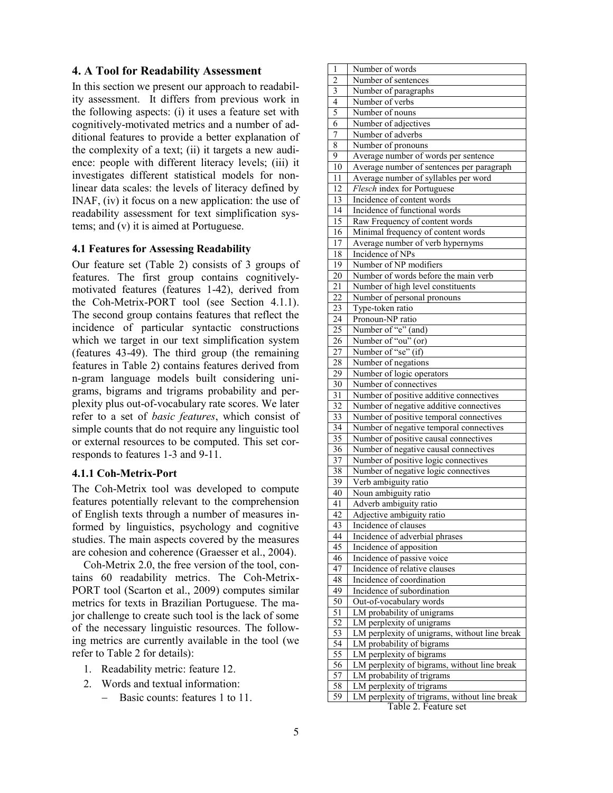## **4. A Tool for Readability Assessment**

In this section we present our approach to readability assessment. It differs from previous work in the following aspects: (i) it uses a feature set with cognitively-motivated metrics and a number of additional features to provide a better explanation of the complexity of a text; (ii) it targets a new audience: people with different literacy levels; (iii) it investigates different statistical models for nonlinear data scales: the levels of literacy defined by INAF, (iv) it focus on a new application: the use of readability assessment for text simplification systems; and (v) it is aimed at Portuguese.

#### **4.1 Features for Assessing Readability**

Our feature set (Table 2) consists of 3 groups of features. The first group contains cognitivelymotivated features (features 1-42), derived from the Coh-Metrix-PORT tool (see Section 4.1.1). The second group contains features that reflect the incidence of particular syntactic constructions which we target in our text simplification system (features 43-49). The third group (the remaining features in Table 2) contains features derived from n-gram language models built considering unigrams, bigrams and trigrams probability and perplexity plus out-of-vocabulary rate scores. We later refer to a set of *basic features*, which consist of simple counts that do not require any linguistic tool or external resources to be computed. This set corresponds to features 1-3 and 9-11.

#### **4.1.1 Coh-Metrix-Port**

The Coh-Metrix tool was developed to compute features potentially relevant to the comprehension of English texts through a number of measures informed by linguistics, psychology and cognitive studies. The main aspects covered by the measures are cohesion and coherence (Graesser et al., 2004).

Coh-Metrix 2.0, the free version of the tool, contains 60 readability metrics. The Coh-Metrix-PORT tool (Scarton et al., 2009) computes similar metrics for texts in Brazilian Portuguese. The major challenge to create such tool is the lack of some of the necessary linguistic resources. The following metrics are currently available in the tool (we refer to Table 2 for details):

- 1. Readability metric: feature 12.
- 2. Words and textual information:
	- Basic counts: features 1 to 11.

| $\mathbf{1}$              | Number of words                               |
|---------------------------|-----------------------------------------------|
| $\overline{c}$            | Number of sentences                           |
| $\overline{\overline{3}}$ | Number of paragraphs                          |
| $\overline{4}$            | Number of verbs                               |
| 5                         | Number of nouns                               |
| 6                         | Number of adjectives                          |
| 7                         | Number of adverbs                             |
| 8                         | Number of pronouns                            |
| 9                         | Average number of words per sentence          |
| 10                        | Average number of sentences per paragraph     |
| 11                        | Average number of syllables per word          |
| 12                        | Flesch index for Portuguese                   |
| 13                        | Incidence of content words                    |
| 14                        | Incidence of functional words                 |
| 15                        | Raw Frequency of content words                |
| 16                        | Minimal frequency of content words            |
| 17                        | Average number of verb hypernyms              |
| 18                        | Incidence of NPs                              |
| 19                        | Number of NP modifiers                        |
| 20                        | Number of words before the main verb          |
|                           |                                               |
| 21                        | Number of high level constituents             |
| 22                        | Number of personal pronouns                   |
| 23                        | Type-token ratio                              |
| 24                        | Pronoun-NP ratio                              |
| 25                        | Number of "e" (and)                           |
| 26                        | Number of "ou" (or)                           |
| 27                        | Number of "se" (if)                           |
| 28                        | Number of negations                           |
| 29                        | Number of logic operators                     |
| 30                        | Number of connectives                         |
| 31                        | Number of positive additive connectives       |
| 32                        | Number of negative additive connectives       |
| 33                        | Number of positive temporal connectives       |
| 34                        | Number of negative temporal connectives       |
| $\overline{35}$           | Number of positive causal connectives         |
| $\overline{36}$           | Number of negative causal connectives         |
| 37                        | Number of positive logic connectives          |
| 38                        | Number of negative logic connectives          |
| 39                        | Verb ambiguity ratio                          |
| 40                        | Noun ambiguity ratio                          |
| 41                        | Adverb ambiguity ratio                        |
| 42                        | Adjective ambiguity ratio                     |
| 43                        | Incidence of clauses                          |
| 44                        | Incidence of adverbial phrases                |
| 45                        | Incidence of apposition                       |
| 46                        | Incidence of passive voice                    |
| 47                        | Incidence of relative clauses                 |
| 48                        | Incidence of coordination                     |
| 49                        | Incidence of subordination                    |
| 50                        | Out-of-vocabulary words                       |
| 51                        | LM probability of unigrams                    |
| 52                        | LM perplexity of unigrams                     |
| <u>53</u>                 | LM perplexity of unigrams, without line break |
| 54                        | LM probability of bigrams                     |
| 55                        | LM perplexity of bigrams                      |
| 56                        | LM perplexity of bigrams, without line break  |
| 57                        | LM probability of trigrams                    |
| 58                        | LM perplexity of trigrams                     |
| 59                        | LM perplexity of trigrams, without line break |

Table 2. Feature set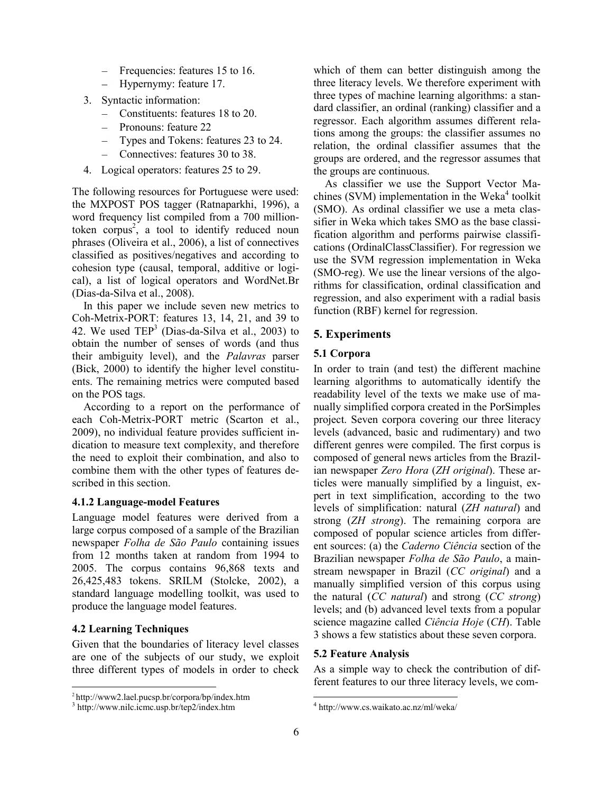- Frequencies: features 15 to 16.  $-$
- Hypernymy: feature 17.
- 3. Syntactic information:
	- $\overline{a}$ Constituents: features 18 to 20.
	- Pronouns: feature 22
	- Types and Tokens: features 23 to 24.
	- Connectives: features 30 to 38.  $\equiv$
- 4. Logical operators: features 25 to 29.

The following resources for Portuguese were used: the MXPOST POS tagger (Ratnaparkhi, 1996), a word frequency list compiled from a 700 milliontoken corpus<sup>2</sup>, a tool to identify reduced noun phrases (Oliveira et al., 2006), a list of connectives classified as positives/negatives and according to cohesion type (causal, temporal, additive or logical), a list of logical operators and WordNet.Br (Dias-da-Silva et al., 2008).

In this paper we include seven new metrics to Coh-Metrix-PORT: features 13, 14, 21, and 39 to 42. We used  $\text{TEP}^3$  (Dias-da-Silva et al., 2003) to obtain the number of senses of words (and thus their ambiguity level), and the *Palavras* parser (Bick, 2000) to identify the higher level constituents. The remaining metrics were computed based on the POS tags.

According to a report on the performance of each Coh-Metrix-PORT metric (Scarton et al., 2009), no individual feature provides sufficient indication to measure text complexity, and therefore the need to exploit their combination, and also to combine them with the other types of features described in this section.

#### **4.1.2 Language-model Features**

Language model features were derived from a large corpus composed of a sample of the Brazilian newspaper *Folha de São Paulo* containing issues from 12 months taken at random from 1994 to 2005. The corpus contains 96,868 texts and 26,425,483 tokens. SRILM (Stolcke, 2002), a standard language modelling toolkit, was used to produce the language model features.

## **4.2 Learning Techniques**

 $\overline{a}$ 

Given that the boundaries of literacy level classes are one of the subjects of our study, we exploit three different types of models in order to check which of them can better distinguish among the three literacy levels. We therefore experiment with three types of machine learning algorithms: a standard classifier, an ordinal (ranking) classifier and a regressor. Each algorithm assumes different relations among the groups: the classifier assumes no relation, the ordinal classifier assumes that the groups are ordered, and the regressor assumes that the groups are continuous.

As classifier we use the Support Vector Machines (SVM) implementation in the Weka<sup>4</sup> toolkit (SMO). As ordinal classifier we use a meta classifier in Weka which takes SMO as the base classification algorithm and performs pairwise classifications (OrdinalClassClassifier). For regression we use the SVM regression implementation in Weka (SMO-reg). We use the linear versions of the algorithms for classification, ordinal classification and regression, and also experiment with a radial basis function (RBF) kernel for regression.

## **5. Experiments**

#### **5.1 Corpora**

In order to train (and test) the different machine learning algorithms to automatically identify the readability level of the texts we make use of manually simplified corpora created in the PorSimples project. Seven corpora covering our three literacy levels (advanced, basic and rudimentary) and two different genres were compiled. The first corpus is composed of general news articles from the Brazilian newspaper *Zero Hora* (*ZH original*). These articles were manually simplified by a linguist, expert in text simplification, according to the two levels of simplification: natural (*ZH natural*) and strong (*ZH strong*). The remaining corpora are composed of popular science articles from different sources: (a) the *Caderno Ciência* section of the Brazilian newspaper *Folha de São Paulo*, a mainstream newspaper in Brazil (*CC original*) and a manually simplified version of this corpus using the natural (*CC natural*) and strong (*CC strong*) levels; and (b) advanced level texts from a popular science magazine called *Ciência Hoje* (*CH*). Table 3 shows a few statistics about these seven corpora.

#### **5.2 Feature Analysis**

As a simple way to check the contribution of different features to our three literacy levels, we com-

l

<sup>2</sup> http://www2.lael.pucsp.br/corpora/bp/index.htm

<sup>3</sup> http://www.nilc.icmc.usp.br/tep2/index.htm

<sup>4</sup> http://www.cs.waikato.ac.nz/ml/weka/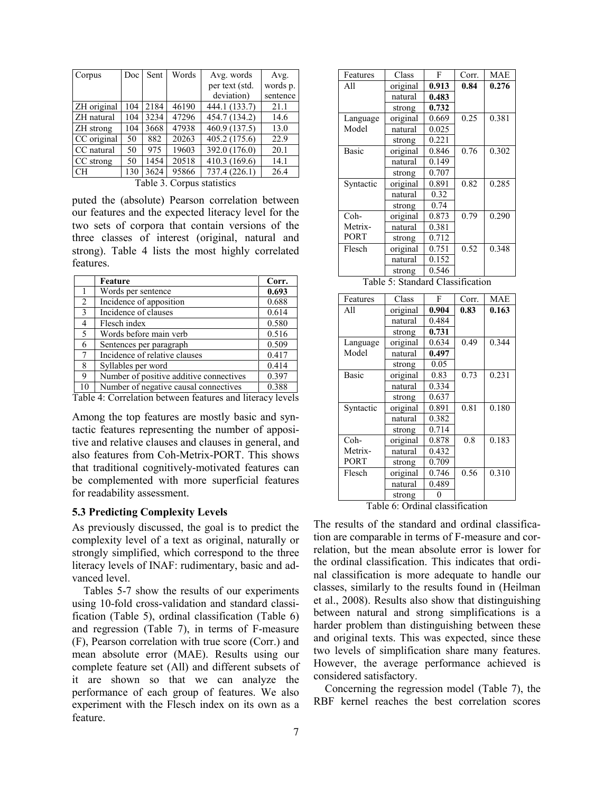| Doc | Sent | Words | Avg. words     | Avg.                         |
|-----|------|-------|----------------|------------------------------|
|     |      |       | per text (std. | words p.                     |
|     |      |       | deviation)     | sentence                     |
| 104 | 2184 | 46190 | 444.1 (133.7)  | 21.1                         |
| 104 | 3234 | 47296 | 454.7 (134.2)  | 14.6                         |
| 104 | 3668 | 47938 | 460.9 (137.5)  | 13.0                         |
| 50  | 882  | 20263 | 405.2 (175.6)  | 22.9                         |
| 50  | 975  | 19603 | 392.0 (176.0)  | 20.1                         |
| 50  | 1454 | 20518 | 410.3 (169.6)  | 14.1                         |
| 130 | 3624 | 95866 | 737.4 (226.1)  | 26.4                         |
|     |      |       |                | Table 3<br>Corpus statistics |

Table 3. Corpus statistics

puted the (absolute) Pearson correlation between our features and the expected literacy level for the two sets of corpora that contain versions of the three classes of interest (original, natural and strong). Table 4 lists the most highly correlated features.

|    | Feature                                                                                              | Corr. |
|----|------------------------------------------------------------------------------------------------------|-------|
|    | Words per sentence                                                                                   | 0.693 |
| 2  | Incidence of apposition                                                                              | 0.688 |
| 3  | Incidence of clauses                                                                                 | 0.614 |
| 4  | Flesch index                                                                                         | 0.580 |
| 5  | Words before main verb                                                                               | 0.516 |
| 6  | Sentences per paragraph                                                                              | 0.509 |
| 7  | Incidence of relative clauses                                                                        | 0.417 |
| 8  | Syllables per word                                                                                   | 0.414 |
| 9  | Number of positive additive connectives                                                              | 0.397 |
| 10 | Number of negative causal connectives                                                                | 0.388 |
|    | THE 11 A C 1 A C 1 A C 1 A C 1 A C 1 A C 1 A C 1 A C 1 A C 1 A C 1 A C 1 A C 1 A C 1 A C 1 A C 1 A C |       |

Table 4: Correlation between features and literacy levels

Among the top features are mostly basic and syntactic features representing the number of appositive and relative clauses and clauses in general, and also features from Coh-Metrix-PORT. This shows that traditional cognitively-motivated features can be complemented with more superficial features for readability assessment.

#### **5.3 Predicting Complexity Levels**

As previously discussed, the goal is to predict the complexity level of a text as original, naturally or strongly simplified, which correspond to the three literacy levels of INAF: rudimentary, basic and advanced level.

Tables 5-7 show the results of our experiments using 10-fold cross-validation and standard classification (Table 5), ordinal classification (Table 6) and regression (Table 7), in terms of F-measure (F), Pearson correlation with true score (Corr.) and mean absolute error (MAE). Results using our complete feature set (All) and different subsets of it are shown so that we can analyze the performance of each group of features. We also experiment with the Flesch index on its own as a feature.

| Features     | Class    | F     | Corr. | <b>MAE</b> |
|--------------|----------|-------|-------|------------|
| A11          | original | 0.913 | 0.84  | 0.276      |
|              | natural  | 0.483 |       |            |
|              | strong   | 0.732 |       |            |
| Language     | original | 0.669 | 0.25  | 0.381      |
| Model        | natural  | 0.025 |       |            |
|              | strong   | 0.221 |       |            |
| <b>Basic</b> | original | 0.846 | 0.76  | 0.302      |
|              | natural  | 0.149 |       |            |
|              | strong   | 0.707 |       |            |
| Syntactic    | original | 0.891 | 0.82  | 0.285      |
|              | natural  | 0.32  |       |            |
|              | strong   | 0.74  |       |            |
| Coh-         | original | 0.873 | 0.79  | 0.290      |
| Metrix-      | natural  | 0.381 |       |            |
| <b>PORT</b>  | strong   | 0.712 |       |            |
| Flesch       | original | 0.751 | 0.52  | 0.348      |
|              | natural  | 0.152 |       |            |
|              | strong   | 0.546 |       |            |

Table 5: Standard Classification

| Features     | Class    | F     | Corr. | <b>MAE</b> |
|--------------|----------|-------|-------|------------|
| A11          | original | 0.904 | 0.83  | 0.163      |
|              | natural  | 0.484 |       |            |
|              | strong   | 0.731 |       |            |
| Language     | original | 0.634 | 0.49  | 0.344      |
| Model        | natural  | 0.497 |       |            |
|              | strong   | 0.05  |       |            |
| <b>Basic</b> | original | 0.83  | 0.73  | 0.231      |
|              | natural  | 0.334 |       |            |
|              | strong   | 0.637 |       |            |
| Syntactic    | original | 0.891 | 0.81  | 0.180      |
|              | natural  | 0.382 |       |            |
|              | strong   | 0.714 |       |            |
| Coh-         | original | 0.878 | 0.8   | 0.183      |
| Metrix-      | natural  | 0.432 |       |            |
| PORT         | strong   | 0.709 |       |            |
| Flesch       | original | 0.746 | 0.56  | 0.310      |
|              | natural  | 0.489 |       |            |
|              | strong   |       |       |            |

Table 6: Ordinal classification

The results of the standard and ordinal classification are comparable in terms of F-measure and correlation, but the mean absolute error is lower for the ordinal classification. This indicates that ordinal classification is more adequate to handle our classes, similarly to the results found in (Heilman et al., 2008). Results also show that distinguishing between natural and strong simplifications is a harder problem than distinguishing between these and original texts. This was expected, since these two levels of simplification share many features. However, the average performance achieved is considered satisfactory.

Concerning the regression model (Table 7), the RBF kernel reaches the best correlation scores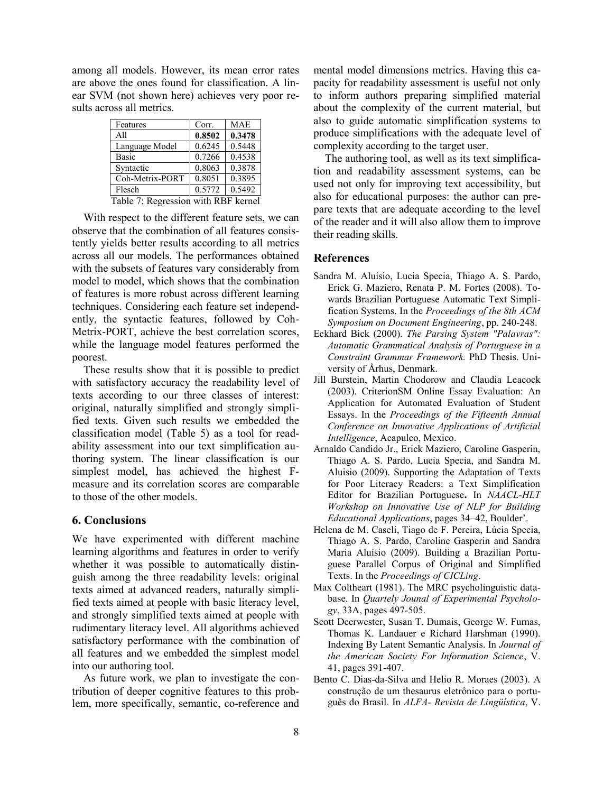among all models. However, its mean error rates are above the ones found for classification. A linear SVM (not shown here) achieves very poor results across all metrics.

| Features                            | Corr.  | <b>MAE</b> |  |  |
|-------------------------------------|--------|------------|--|--|
| A11                                 | 0.8502 | 0.3478     |  |  |
| Language Model                      | 0.6245 | 0.5448     |  |  |
| Basic                               | 0.7266 | 0.4538     |  |  |
| Syntactic                           | 0.8063 | 0.3878     |  |  |
| Coh-Metrix-PORT                     | 0.8051 | 0.3895     |  |  |
| Flesch                              | 0.5772 | 0.5492     |  |  |
| Table 7: Regression with RBF kernel |        |            |  |  |

With respect to the different feature sets, we can observe that the combination of all features consistently yields better results according to all metrics across all our models. The performances obtained with the subsets of features vary considerably from model to model, which shows that the combination of features is more robust across different learning techniques. Considering each feature set independently, the syntactic features, followed by Coh-Metrix-PORT, achieve the best correlation scores, while the language model features performed the poorest.

These results show that it is possible to predict with satisfactory accuracy the readability level of texts according to our three classes of interest: original, naturally simplified and strongly simplified texts. Given such results we embedded the classification model (Table 5) as a tool for readability assessment into our text simplification authoring system. The linear classification is our simplest model, has achieved the highest Fmeasure and its correlation scores are comparable to those of the other models.

#### **6. Conclusions**

We have experimented with different machine learning algorithms and features in order to verify whether it was possible to automatically distinguish among the three readability levels: original texts aimed at advanced readers, naturally simplified texts aimed at people with basic literacy level, and strongly simplified texts aimed at people with rudimentary literacy level. All algorithms achieved satisfactory performance with the combination of all features and we embedded the simplest model into our authoring tool.

As future work, we plan to investigate the contribution of deeper cognitive features to this problem, more specifically, semantic, co-reference and mental model dimensions metrics. Having this capacity for readability assessment is useful not only to inform authors preparing simplified material about the complexity of the current material, but also to guide automatic simplification systems to produce simplifications with the adequate level of complexity according to the target user.

The authoring tool, as well as its text simplification and readability assessment systems, can be used not only for improving text accessibility, but also for educational purposes: the author can prepare texts that are adequate according to the level of the reader and it will also allow them to improve their reading skills.

## **References**

- Sandra M. Aluísio, Lucia Specia, Thiago A. S. Pardo, Erick G. Maziero, Renata P. M. Fortes (2008). Towards Brazilian Portuguese Automatic Text Simplification Systems. In the *Proceedings of the 8th ACM Symposium on Document Engineering*, pp. 240-248.
- Eckhard Bick (2000). *The Parsing System "Palavras": Automatic Grammatical Analysis of Portuguese in a Constraint Grammar Framework.* PhD Thesis. University of Århus, Denmark.
- Jill Burstein, Martin Chodorow and Claudia Leacock (2003). CriterionSM Online Essay Evaluation: An Application for Automated Evaluation of Student Essays. In the *Proceedings of the Fifteenth Annual Conference on Innovative Applications of Artificial Intelligence*, Acapulco, Mexico.
- Arnaldo Candido Jr., Erick Maziero, Caroline Gasperin, Thiago A. S. Pardo, Lucia Specia, and Sandra M. Aluisio (2009). Supporting the Adaptation of Texts for Poor Literacy Readers: a Text Simplification Editor for Brazilian Portuguese**.** In *NAACL-HLT Workshop on Innovative Use of NLP for Building Educational Applications*, pages 34–42, Boulder'.
- Helena de M. Caseli, Tiago de F. Pereira, Lúcia Specia, Thiago A. S. Pardo, Caroline Gasperin and Sandra Maria Aluísio (2009). Building a Brazilian Portuguese Parallel Corpus of Original and Simplified Texts. In the *Proceedings of CICLing*.
- Max Coltheart (1981). The MRC psycholinguistic database. In *Quartely Jounal of Experimental Psychology*, 33A, pages 497-505.
- Scott Deerwester, Susan T. Dumais, George W. Furnas, Thomas K. Landauer e Richard Harshman (1990). Indexing By Latent Semantic Analysis. In *Journal of the American Society For Information Science*, V. 41, pages 391-407.
- Bento C. Dias-da-Silva and Helio R. Moraes (2003). A construção de um thesaurus eletrônico para o português do Brasil. In *ALFA- Revista de Lingüística*, V.